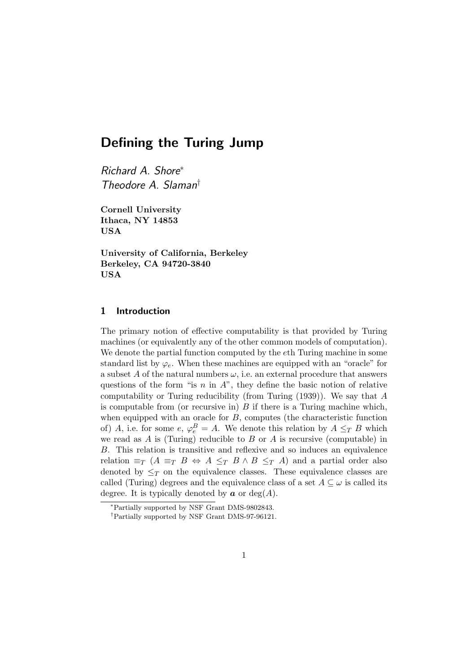# Defining the Turing Jump

Richard A. Shore<sup>∗</sup> Theodore A. Slaman†

Cornell University Ithaca, NY 14853 USA

University of California, Berkeley Berkeley, CA 94720-3840 USA

## 1 Introduction

The primary notion of effective computability is that provided by Turing machines (or equivalently any of the other common models of computation). We denote the partial function computed by the eth Turing machine in some standard list by  $\varphi_e$ . When these machines are equipped with an "oracle" for a subset A of the natural numbers  $\omega$ , i.e. an external procedure that answers questions of the form "is  $n$  in  $A$ ", they define the basic notion of relative computability or Turing reducibility (from Turing (1939)). We say that A is computable from (or recursive in)  $B$  if there is a Turing machine which, when equipped with an oracle for  $B$ , computes (the characteristic function of) A, i.e. for some  $e, \varphi_e^B = A$ . We denote this relation by  $A \leq_T B$  which we read as  $A$  is (Turing) reducible to  $B$  or  $A$  is recursive (computable) in B. This relation is transitive and reflexive and so induces an equivalence relation  $\equiv_T (A \equiv_T B \Leftrightarrow A \leq_T B \wedge B \leq_T A)$  and a partial order also denoted by  $\leq_T$  on the equivalence classes. These equivalence classes are called (Turing) degrees and the equivalence class of a set  $A \subseteq \omega$  is called its degree. It is typically denoted by  $\boldsymbol{a}$  or deg(A).

<sup>∗</sup>Partially supported by NSF Grant DMS-9802843.

<sup>†</sup>Partially supported by NSF Grant DMS-97-96121.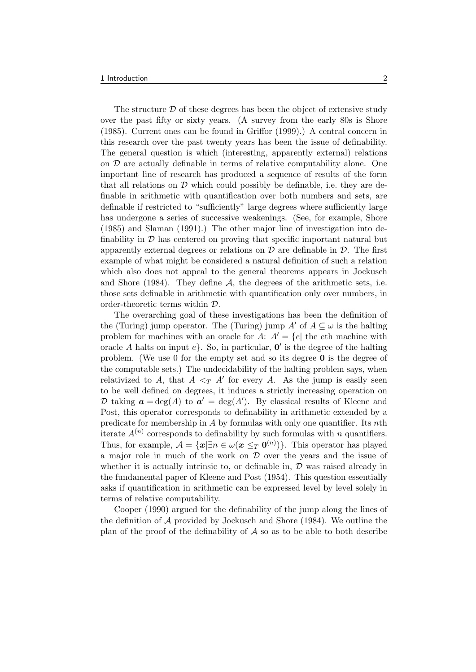The structure  $\mathcal D$  of these degrees has been the object of extensive study over the past fifty or sixty years. (A survey from the early 80s is Shore (1985). Current ones can be found in Griffor (1999).) A central concern in this research over the past twenty years has been the issue of definability. The general question is which (interesting, apparently external) relations on  $\mathcal D$  are actually definable in terms of relative computability alone. One important line of research has produced a sequence of results of the form that all relations on  $\mathcal D$  which could possibly be definable, i.e. they are definable in arithmetic with quantification over both numbers and sets, are definable if restricted to "sufficiently" large degrees where sufficiently large has undergone a series of successive weakenings. (See, for example, Shore (1985) and Slaman (1991).) The other major line of investigation into definability in  $D$  has centered on proving that specific important natural but apparently external degrees or relations on  $\mathcal D$  are definable in  $\mathcal D$ . The first example of what might be considered a natural definition of such a relation which also does not appeal to the general theorems appears in Jockusch and Shore (1984). They define  $A$ , the degrees of the arithmetic sets, i.e. those sets definable in arithmetic with quantification only over numbers, in order-theoretic terms within D.

The overarching goal of these investigations has been the definition of the (Turing) jump operator. The (Turing) jump  $A'$  of  $A \subseteq \omega$  is the halting problem for machines with an oracle for A:  $A' = \{e |$  the eth machine with oracle A halts on input  $e$ . So, in particular,  $\mathbf{0}'$  is the degree of the halting problem. (We use 0 for the empty set and so its degree  $\bf{0}$  is the degree of the computable sets.) The undecidability of the halting problem says, when relativized to A, that  $A \leq_T A'$  for every A. As the jump is easily seen to be well defined on degrees, it induces a strictly increasing operation on D taking  $\boldsymbol{a} = \deg(A)$  to  $\boldsymbol{a}' = \deg(A')$ . By classical results of Kleene and Post, this operator corresponds to definability in arithmetic extended by a predicate for membership in A by formulas with only one quantifier. Its nth iterate  $A^{(n)}$  corresponds to definability by such formulas with n quantifiers. Thus, for example,  $\mathcal{A} = \{ \mathbf{x} | \exists n \in \omega (\mathbf{x} \leq_T \mathbf{0}^{(n)}) \}.$  This operator has played a major role in much of the work on  $D$  over the years and the issue of whether it is actually intrinsic to, or definable in,  $D$  was raised already in the fundamental paper of Kleene and Post (1954). This question essentially asks if quantification in arithmetic can be expressed level by level solely in terms of relative computability.

Cooper (1990) argued for the definability of the jump along the lines of the definition of  $A$  provided by Jockusch and Shore (1984). We outline the plan of the proof of the definability of  $A$  so as to be able to both describe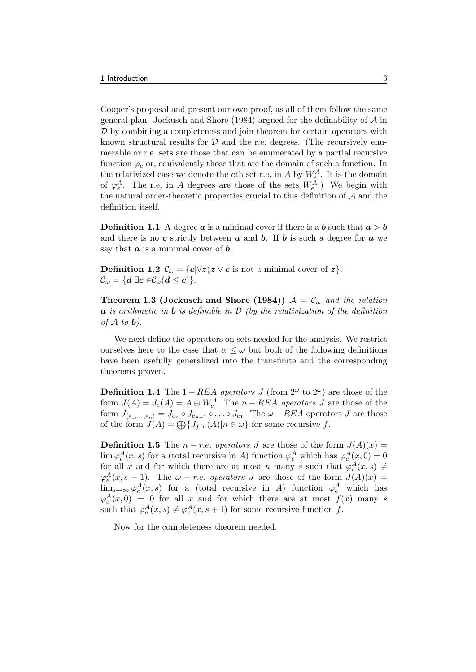Cooper's proposal and present our own proof, as all of them follow the same general plan. Jockusch and Shore (1984) argued for the definability of  $A$  in  $D$  by combining a completeness and join theorem for certain operators with known structural results for  $D$  and the r.e. degrees. (The recursively enumerable or r.e. sets are those that can be enumerated by a partial recursive function  $\varphi_e$  or, equivalently those that are the domain of such a function. In the relativized case we denote the  $e$ th set r.e. in A by  $W_e^A$ . It is the domain of  $\varphi_e^A$ . The r.e. in A degrees are those of the sets  $W_e^A$ .) We begin with the natural order-theoretic properties crucial to this definition of  $A$  and the definition itself.

**Definition 1.1** A degree **a** is a minimal cover if there is a **b** such that  $a > b$ and there is no c strictly between  $\boldsymbol{a}$  and  $\boldsymbol{b}$ . If  $\boldsymbol{b}$  is such a degree for  $\boldsymbol{a}$  we say that  $\boldsymbol{a}$  is a minimal cover of  $\boldsymbol{b}$ .

**Definition 1.2**  $\mathcal{C}_{\omega} = \{c | \forall z (z \lor c \text{ is not a minimal cover of } z\}.$  ${\mathcal C}_{{\omega}} = \{ {\boldsymbol d} | \exists {\boldsymbol c} \in {\mathcal C}_{{\omega}}({\boldsymbol d} \leq {\boldsymbol c}) \}.$ 

**Theorem 1.3 (Jockusch and Shore (1984))**  $\mathcal{A} = \overline{\mathcal{C}}_{\omega}$  and the relation  $\alpha$  is arithmetic in **b** is definable in  $\mathcal{D}$  (by the relativization of the definition of  $A$  to  $b$ ).

We next define the operators on sets needed for the analysis. We restrict ourselves here to the case that  $\alpha \leq \omega$  but both of the following definitions have been usefully generalized into the transfinite and the corresponding theorems proven.

**Definition 1.4** The  $1 - REA$  operators J (from  $2^{\omega}$  to  $2^{\omega}$ ) are those of the form  $J(A) = J_e(A) = A \oplus W_e^A$ . The  $n - REA$  operators  $J$  are those of the form  $J_{\langle e_1,...,e_n \rangle} = J_{e_n} \circ J_{e_{n-1}} \circ ... \circ J_{e_1}$ . The  $\omega$  - REA operators J are those of the form  $J(A) = \bigoplus \{J_{f|n}(A)|n \in \omega\}$  for some recursive f.

**Definition 1.5** The  $n - r.e.$  operators J are those of the form  $J(A)(x) =$  $\lim \varphi_e^A(x, s)$  for a (total recursive in A) function  $\varphi_e^A$  which has  $\varphi_e^A(x, 0) = 0$ for all x and for which there are at most n many s such that  $\varphi_e^A(x, s) \neq$  $\varphi_e^A(x, s+1)$ . The  $\omega$  - r.e. operators J are those of the form  $J(A)(x)$  =  $\lim_{s\to\infty}\varphi_e^A(x,s)$  for a (total recursive in A) function  $\varphi_e^A$  which has  $\varphi_e^A(x,0) = 0$  for all x and for which there are at most  $f(x)$  many s such that  $\varphi_e^A(x, s) \neq \varphi_e^A(x, s+1)$  for some recursive function f.

Now for the completeness theorem needed.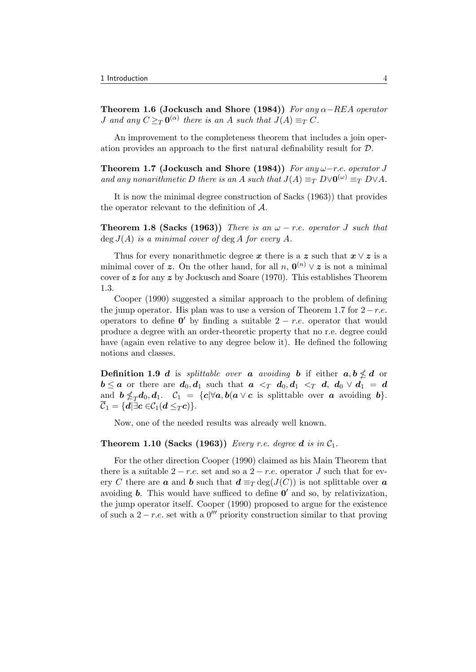Theorem 1.6 (Jockusch and Shore (1984)) For any  $\alpha$ -REA operator *J* and any  $C \geq_T \mathbf{0}^{(\alpha)}$  there is an A such that  $J(A) \equiv_T C$ .

An improvement to the completeness theorem that includes a join operation provides an approach to the first natural definability result for D.

Theorem 1.7 (Jockusch and Shore (1984)) For any  $\omega$ -r.e. operator J and any nonarithmetic D there is an A such that  $J(A) \equiv_T D \vee 0^{(\omega)} \equiv_T D \vee A$ .

It is now the minimal degree construction of Sacks (1963)) that provides the operator relevant to the definition of A.

**Theorem 1.8 (Sacks (1963))** There is an  $\omega$  – r.e. operator J such that  $\deg J(A)$  is a minimal cover of  $\deg A$  for every A.

Thus for every nonarithmetic degree x there is a z such that  $x \vee z$  is a minimal cover of z. On the other hand, for all  $n, \mathbf{0}^{(n)} \vee z$  is not a minimal cover of  $z$  for any  $z$  by Jockusch and Soare (1970). This establishes Theorem 1.3.

Cooper (1990) suggested a similar approach to the problem of defining the jump operator. His plan was to use a version of Theorem 1.7 for  $2-r.e.$ operators to define  $\mathbf{0}'$  by finding a suitable  $2 - r.e.$  operator that would produce a degree with an order-theoretic property that no r.e. degree could have (again even relative to any degree below it). He defined the following notions and classes.

**Definition 1.9**  $d$  is splittable over a avoiding b if either  $a, b \nleq d$  or  $\mathbf{b} \leq \mathbf{a}$  or there are  $\mathbf{d}_0, \mathbf{d}_1$  such that  $\mathbf{a} \leq_T \mathbf{d}_0, \mathbf{d}_1 \leq_T \mathbf{d}_1$ ,  $\mathbf{d}_0 \vee \mathbf{d}_1 = \mathbf{d}_1$ and  $\mathbf{b} \nleq_T \mathbf{d}_0, \mathbf{d}_1$ .  $\mathcal{C}_1 = \{c | \forall \mathbf{a}, \mathbf{b}(\mathbf{a} \vee \mathbf{c} \text{ is splittable over } \mathbf{a} \text{ avoiding } \mathbf{b} \}.$  $\overline{\mathcal{C}}_1 = \{d | \exists c \in \mathcal{C}_1(d \leq_T c)\}.$ 

Now, one of the needed results was already well known.

#### **Theorem 1.10 (Sacks (1963))** Every r.e. degree d is in  $C_1$ .

For the other direction Cooper (1990) claimed as his Main Theorem that there is a suitable  $2 - r.e.$  set and so a  $2 - r.e.$  operator J such that for every C there are **a** and **b** such that  $d \equiv_T \deg(J(C))$  is not splittable over **a** avoiding **b**. This would have sufficed to define  $\mathbf{0}'$  and so, by relativization, the jump operator itself. Cooper (1990) proposed to argue for the existence of such a  $2 - r.e.$  set with a 0<sup>'''</sup> priority construction similar to that proving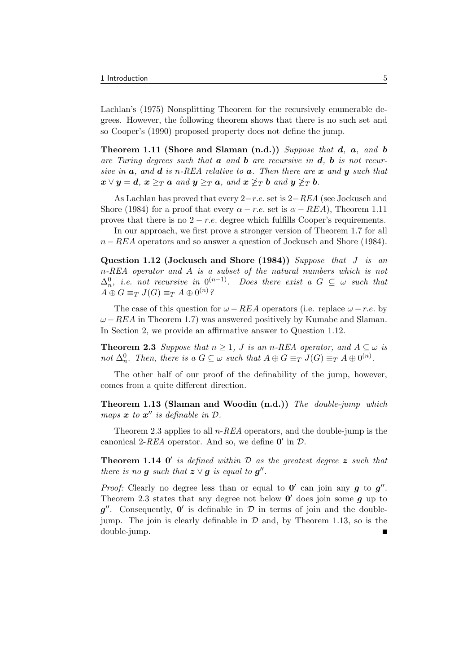Lachlan's (1975) Nonsplitting Theorem for the recursively enumerable degrees. However, the following theorem shows that there is no such set and so Cooper's (1990) proposed property does not define the jump.

Theorem 1.11 (Shore and Slaman  $(n.d.)$ ) Suppose that  $d, a, and b$ are Turing degrees such that  $\boldsymbol{a}$  and  $\boldsymbol{b}$  are recursive in  $\boldsymbol{d}$ ,  $\boldsymbol{b}$  is not recursive in  $\boldsymbol{a}$ , and  $\boldsymbol{d}$  is n-REA relative to  $\boldsymbol{a}$ . Then there are  $\boldsymbol{x}$  and  $\boldsymbol{y}$  such that  $\mathbf{x} \vee \mathbf{y} = \mathbf{d}, \mathbf{x} \geq_T \mathbf{a} \text{ and } \mathbf{y} \geq_T \mathbf{a}, \text{ and } \mathbf{x} \not\geq_T \mathbf{b} \text{ and } \mathbf{y} \not\geq_T \mathbf{b}.$ 

As Lachlan has proved that every  $2-r.e.$  set is  $2-REA$  (see Jockusch and Shore (1984) for a proof that every  $\alpha - r.e.$  set is  $\alpha - REA$ ), Theorem 1.11 proves that there is no  $2 - r.e.$  degree which fulfills Cooper's requirements.

In our approach, we first prove a stronger version of Theorem 1.7 for all  $n - REAL$  operators and so answer a question of Jockusch and Shore (1984).

Question 1.12 (Jockusch and Shore (1984)) Suppose that J is an n-REA operator and A is a subset of the natural numbers which is not  $\Delta_n^0$ , i.e. not recursive in  $0^{(n-1)}$ . Does there exist a  $G \subseteq \omega$  such that  $A \oplus G \equiv_T J(G) \equiv_T A \oplus 0^{(n)}$ ?

The case of this question for  $\omega$  – REA operators (i.e. replace  $\omega$  – r.e. by  $\omega - REA$  in Theorem 1.7) was answered positively by Kumabe and Slaman. In Section 2, we provide an affirmative answer to Question 1.12.

**Theorem 2.3** Suppose that  $n \geq 1$ , J is an n-REA operator, and  $A \subseteq \omega$  is not  $\Delta_n^0$ . Then, there is a  $G \subseteq \omega$  such that  $A \oplus G \equiv_T J(G) \equiv_T A \oplus 0^{(n)}$ .

The other half of our proof of the definability of the jump, however, comes from a quite different direction.

Theorem 1.13 (Slaman and Woodin (n.d.)) The double-jump which maps  $x$  to  $x''$  is definable in  $\mathcal{D}$ .

Theorem 2.3 applies to all  $n$ -REA operators, and the double-jump is the canonical 2-REA operator. And so, we define  $\mathbf{0}'$  in  $\mathcal{D}$ .

**Theorem 1.14 0'** is defined within  $\mathcal{D}$  as the greatest degree  $\boldsymbol{z}$  such that there is no g such that  $z \vee g$  is equal to  $g''$ .

*Proof:* Clearly no degree less than or equal to  $0'$  can join any  $g$  to  $g''$ . Theorem 2.3 states that any degree not below  $\mathbf{0}'$  does join some  $g$  up to  $g''$ . Consequently,  $0'$  is definable in  $D$  in terms of join and the doublejump. The join is clearly definable in  $\mathcal D$  and, by Theorem 1.13, so is the double-jump.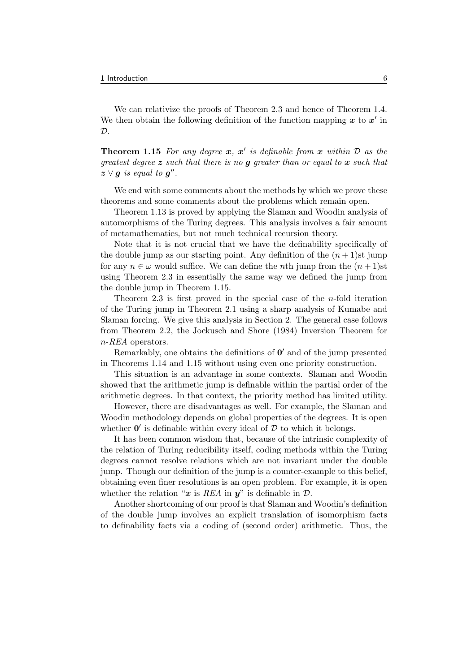We can relativize the proofs of Theorem 2.3 and hence of Theorem 1.4. We then obtain the following definition of the function mapping  $x$  to  $x'$  in  $\mathcal{D}$ .

**Theorem 1.15** For any degree  $x, x'$  is definable from  $x$  within  $D$  as the greatest degree  $z$  such that there is no  $g$  greater than or equal to  $x$  such that  $\mathbf{z} \vee \mathbf{g}$  is equal to  $\mathbf{g}''$ .

We end with some comments about the methods by which we prove these theorems and some comments about the problems which remain open.

Theorem 1.13 is proved by applying the Slaman and Woodin analysis of automorphisms of the Turing degrees. This analysis involves a fair amount of metamathematics, but not much technical recursion theory.

Note that it is not crucial that we have the definability specifically of the double jump as our starting point. Any definition of the  $(n+1)$ st jump for any  $n \in \omega$  would suffice. We can define the *n*th jump from the  $(n+1)$ st using Theorem 2.3 in essentially the same way we defined the jump from the double jump in Theorem 1.15.

Theorem 2.3 is first proved in the special case of the *n*-fold iteration of the Turing jump in Theorem 2.1 using a sharp analysis of Kumabe and Slaman forcing. We give this analysis in Section 2. The general case follows from Theorem 2.2, the Jockusch and Shore (1984) Inversion Theorem for n-REA operators.

Remarkably, one obtains the definitions of  $0'$  and of the jump presented in Theorems 1.14 and 1.15 without using even one priority construction.

This situation is an advantage in some contexts. Slaman and Woodin showed that the arithmetic jump is definable within the partial order of the arithmetic degrees. In that context, the priority method has limited utility.

However, there are disadvantages as well. For example, the Slaman and Woodin methodology depends on global properties of the degrees. It is open whether  $0'$  is definable within every ideal of  $D$  to which it belongs.

It has been common wisdom that, because of the intrinsic complexity of the relation of Turing reducibility itself, coding methods within the Turing degrees cannot resolve relations which are not invariant under the double jump. Though our definition of the jump is a counter-example to this belief, obtaining even finer resolutions is an open problem. For example, it is open whether the relation " $x$  is REA in  $y$ " is definable in  $\mathcal{D}$ .

Another shortcoming of our proof is that Slaman and Woodin's definition of the double jump involves an explicit translation of isomorphism facts to definability facts via a coding of (second order) arithmetic. Thus, the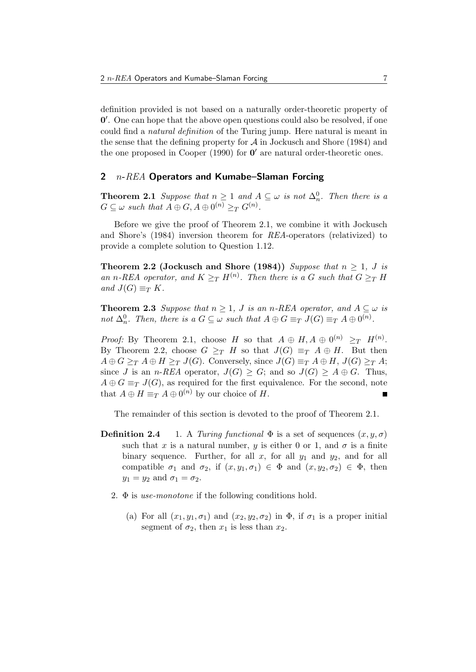definition provided is not based on a naturally order-theoretic property of 0 0 . One can hope that the above open questions could also be resolved, if one could find a natural definition of the Turing jump. Here natural is meant in the sense that the defining property for  $A$  in Jockusch and Shore (1984) and the one proposed in Cooper  $(1990)$  for  $0'$  are natural order-theoretic ones.

# 2  $n$ - $REA$  Operators and Kumabe–Slaman Forcing

**Theorem 2.1** Suppose that  $n \geq 1$  and  $A \subseteq \omega$  is not  $\Delta_n^0$ . Then there is a  $G \subseteq \omega$  such that  $A \oplus G, A \oplus 0^{(n)} \geq_T G^{(n)}$ .

Before we give the proof of Theorem 2.1, we combine it with Jockusch and Shore's (1984) inversion theorem for REA-operators (relativized) to provide a complete solution to Question 1.12.

Theorem 2.2 (Jockusch and Shore (1984)) Suppose that  $n \geq 1$ , J is an n-REA operator, and  $K \geq_T H^{(n)}$ . Then there is a G such that  $G \geq_T H$ and  $J(G) \equiv_T K$ .

**Theorem 2.3** Suppose that  $n \geq 1$ , J is an n-REA operator, and  $A \subseteq \omega$  is not  $\Delta_n^0$ . Then, there is a  $G \subseteq \omega$  such that  $A \oplus G \equiv_T J(G) \equiv_T A \oplus 0^{(n)}$ .

*Proof:* By Theorem 2.1, choose H so that  $A \oplus H$ ,  $A \oplus 0^{(n)} \geq T$   $H^{(n)}$ . By Theorem 2.2, choose  $G \geq_T H$  so that  $J(G) \equiv_T A \oplus H$ . But then  $A \oplus G \geq_T A \oplus H \geq_T J(G)$ . Conversely, since  $J(G) \equiv_T A \oplus H$ ,  $J(G) \geq_T A$ ; since J is an *n*-REA operator,  $J(G) \geq G$ ; and so  $J(G) \geq A \oplus G$ . Thus,  $A \oplus G \equiv_T J(G)$ , as required for the first equivalence. For the second, note that  $A \oplus H \equiv_T A \oplus 0^{(n)}$  by our choice of H.

The remainder of this section is devoted to the proof of Theorem 2.1.

- **Definition 2.4** 1. A Turing functional  $\Phi$  is a set of sequences  $(x, y, \sigma)$ such that x is a natural number, y is either 0 or 1, and  $\sigma$  is a finite binary sequence. Further, for all  $x$ , for all  $y_1$  and  $y_2$ , and for all compatible  $\sigma_1$  and  $\sigma_2$ , if  $(x, y_1, \sigma_1) \in \Phi$  and  $(x, y_2, \sigma_2) \in \Phi$ , then  $y_1 = y_2$  and  $\sigma_1 = \sigma_2$ .
	- 2.  $\Phi$  is use-monotone if the following conditions hold.
		- (a) For all  $(x_1, y_1, \sigma_1)$  and  $(x_2, y_2, \sigma_2)$  in  $\Phi$ , if  $\sigma_1$  is a proper initial segment of  $\sigma_2$ , then  $x_1$  is less than  $x_2$ .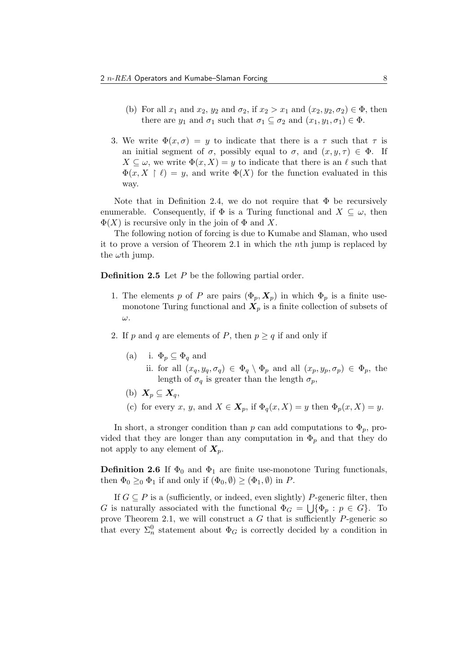- (b) For all  $x_1$  and  $x_2$ ,  $y_2$  and  $\sigma_2$ , if  $x_2 > x_1$  and  $(x_2, y_2, \sigma_2) \in \Phi$ , then there are  $y_1$  and  $\sigma_1$  such that  $\sigma_1 \subseteq \sigma_2$  and  $(x_1, y_1, \sigma_1) \in \Phi$ .
- 3. We write  $\Phi(x, \sigma) = y$  to indicate that there is a  $\tau$  such that  $\tau$  is an initial segment of  $\sigma$ , possibly equal to  $\sigma$ , and  $(x, y, \tau) \in \Phi$ . If  $X \subseteq \omega$ , we write  $\Phi(x, X) = y$  to indicate that there is an  $\ell$  such that  $\Phi(x, X \restriction \ell) = y$ , and write  $\Phi(X)$  for the function evaluated in this way.

Note that in Definition 2.4, we do not require that  $\Phi$  be recursively enumerable. Consequently, if  $\Phi$  is a Turing functional and  $X \subseteq \omega$ , then  $\Phi(X)$  is recursive only in the join of  $\Phi$  and X.

The following notion of forcing is due to Kumabe and Slaman, who used it to prove a version of Theorem 2.1 in which the nth jump is replaced by the  $\omega$ th jump.

**Definition 2.5** Let  $P$  be the following partial order.

- 1. The elements p of P are pairs  $(\Phi_p, X_p)$  in which  $\Phi_p$  is a finite usemonotone Turing functional and  $X_p$  is a finite collection of subsets of ω.
- 2. If p and q are elements of P, then  $p \geq q$  if and only if
	- (a) i.  $\Phi_p \subseteq \Phi_q$  and
		- ii. for all  $(x_q, y_q, \sigma_q) \in \Phi_q \setminus \Phi_p$  and all  $(x_p, y_p, \sigma_p) \in \Phi_p$ , the length of  $\sigma_q$  is greater than the length  $\sigma_p$ ,
	- (b)  $X_p \subseteq X_q$ ,
	- (c) for every x, y, and  $X \in \mathbf{X}_p$ , if  $\Phi_q(x, X) = y$  then  $\Phi_p(x, X) = y$ .

In short, a stronger condition than p can add computations to  $\Phi_p$ , provided that they are longer than any computation in  $\Phi_p$  and that they do not apply to any element of  $X_p$ .

**Definition 2.6** If  $\Phi_0$  and  $\Phi_1$  are finite use-monotone Turing functionals, then  $\Phi_0 \geq 0$   $\Phi_1$  if and only if  $(\Phi_0, \emptyset) \geq (\Phi_1, \emptyset)$  in P.

If  $G \subseteq P$  is a (sufficiently, or indeed, even slightly) P-generic filter, then G is naturally associated with the functional  $\Phi_G = \bigcup \{ \Phi_p : p \in G \}$ . To prove Theorem 2.1, we will construct a  $G$  that is sufficiently  $P$ -generic so that every  $\Sigma_n^0$  statement about  $\Phi_G$  is correctly decided by a condition in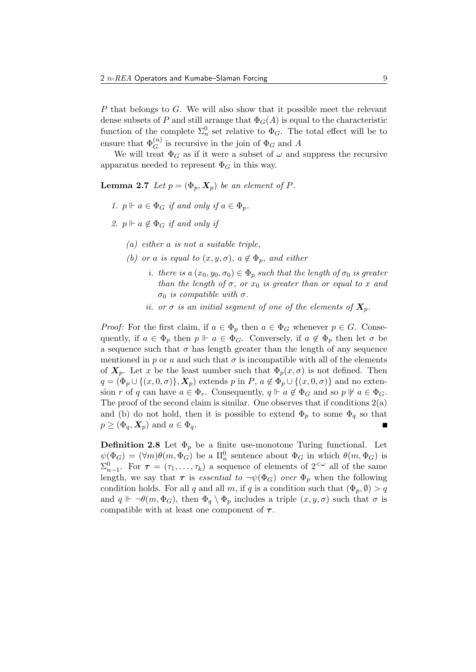P that belongs to G. We will also show that it possible meet the relevant dense subsets of P and still arrange that  $\Phi_G(A)$  is equal to the characteristic function of the complete  $\Sigma_n^0$  set relative to  $\Phi_G$ . The total effect will be to ensure that  $\Phi_G^{(n)}$  is recursive in the join of  $\Phi_G$  and A

We will treat  $\Phi_G$  as if it were a subset of  $\omega$  and suppress the recursive apparatus needed to represent  $\Phi_G$  in this way.

**Lemma 2.7** Let  $p = (\Phi_p, X_p)$  be an element of P.

- 1.  $p \Vdash a \in \Phi_G$  if and only if  $a \in \Phi_n$ .
- 2.  $p \Vdash a \notin \Phi_G$  if and only if
	- $(a)$  either a is not a suitable triple,
	- (b) or a is equal to  $(x, y, \sigma)$ ,  $a \notin \Phi_p$ , and either
		- i. there is a  $(x_0, y_0, \sigma_0) \in \Phi_p$  such that the length of  $\sigma_0$  is greater than the length of  $\sigma$ , or  $x_0$  is greater than or equal to x and σ<sub>0</sub> is compatible with σ.
		- ii. or  $\sigma$  is an initial segment of one of the elements of  $X_p$ .

*Proof:* For the first claim, if  $a \in \Phi_p$  then  $a \in \Phi_G$  whenever  $p \in G$ . Consequently, if  $a \in \Phi_p$  then  $p \Vdash a \in \Phi_G$ . Conversely, if  $a \notin \Phi_p$  then let  $\sigma$  be a sequence such that  $\sigma$  has length greater than the length of any sequence mentioned in p or a and such that  $\sigma$  is incompatible with all of the elements of  $X_p$ . Let x be the least number such that  $\Phi_p(x, \sigma)$  is not defined. Then  $q = (\Phi_p \cup \{(x, 0, \sigma)\}, \mathbf{X}_p)$  extends p in P,  $a \notin \Phi_p \cup \{(x, 0, \sigma)\}\$  and no extension r of q can have  $a \in \Phi_r$ . Consequently,  $q \Vdash a \notin \Phi_G$  and so  $p \not\Vdash a \in \Phi_G$ . The proof of the second claim is similar. One observes that if conditions  $2(a)$ and (b) do not hold, then it is possible to extend  $\Phi_p$  to some  $\Phi_q$  so that  $p \geq (\Phi_q, \mathbf{X}_p)$  and  $a \in \Phi_q$ .

**Definition 2.8** Let  $\Phi_p$  be a finite use-monotone Turing functional. Let  $\psi(\Phi_G) = (\forall m)\theta(m, \Phi_G)$  be a  $\Pi_n^0$  sentence about  $\Phi_G$  in which  $\theta(m, \Phi_G)$  is  $\Sigma_{n-1}^0$ . For  $\tau = (\tau_1, \ldots, \tau_k)$  a sequence of elements of  $2^{<\omega}$  all of the same length, we say that  $\tau$  is *essential to*  $\neg \psi(\Phi_G)$  *over*  $\Phi_p$  when the following condition holds. For all q and all m, if q is a condition such that  $(\Phi_p, \emptyset) > q$ and  $q \Vdash \neg \theta(m, \Phi_G)$ , then  $\Phi_q \setminus \Phi_p$  includes a triple  $(x, y, \sigma)$  such that  $\sigma$  is compatible with at least one component of  $\tau$ .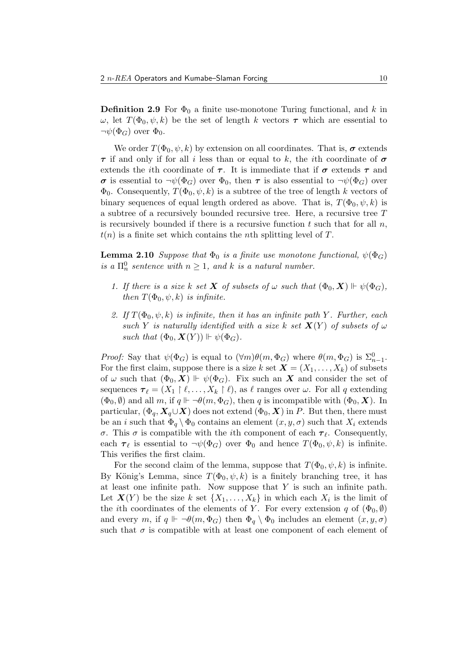**Definition 2.9** For  $\Phi_0$  a finite use-monotone Turing functional, and k in  $ω$ , let  $T(\Phi_0, ψ, k)$  be the set of length k vectors  $τ$  which are essential to  $\neg\psi(\Phi_G)$  over  $\Phi_0$ .

We order  $T(\Phi_0, \psi, k)$  by extension on all coordinates. That is,  $\sigma$  extends  $\tau$  if and only if for all i less than or equal to k, the ith coordinate of  $\sigma$ extends the *i*th coordinate of  $\tau$ . It is immediate that if  $\sigma$  extends  $\tau$  and  $\sigma$  is essential to  $\neg\psi(\Phi_G)$  over  $\Phi_0$ , then  $\tau$  is also essential to  $\neg\psi(\Phi_G)$  over  $\Phi_0$ . Consequently,  $T(\Phi_0, \psi, k)$  is a subtree of the tree of length k vectors of binary sequences of equal length ordered as above. That is,  $T(\Phi_0, \psi, k)$  is a subtree of a recursively bounded recursive tree. Here, a recursive tree T is recursively bounded if there is a recursive function t such that for all  $n$ ,  $t(n)$  is a finite set which contains the nth splitting level of T.

**Lemma 2.10** Suppose that  $\Phi_0$  is a finite use monotone functional,  $\psi(\Phi_G)$ is a  $\Pi_n^0$  sentence with  $n \geq 1$ , and k is a natural number.

- 1. If there is a size k set **X** of subsets of  $\omega$  such that  $(\Phi_0, \mathbf{X}) \Vdash \psi(\Phi_G)$ , then  $T(\Phi_0, \psi, k)$  is infinite.
- 2. If  $T(\Phi_0, \psi, k)$  is infinite, then it has an infinite path Y. Further, each such Y is naturally identified with a size k set  $X(Y)$  of subsets of  $\omega$ such that  $(\Phi_0, \mathbf{X}(Y)) \Vdash \psi(\Phi_G)$ .

*Proof:* Say that  $\psi(\Phi_G)$  is equal to  $(\forall m)\theta(m,\Phi_G)$  where  $\theta(m,\Phi_G)$  is  $\Sigma_{n-1}^0$ . For the first claim, suppose there is a size k set  $\mathbf{X} = (X_1, \ldots, X_k)$  of subsets of  $\omega$  such that  $(\Phi_0, X) \Vdash \psi(\Phi_G)$ . Fix such an X and consider the set of sequences  $\boldsymbol{\tau}_{\ell} = (X_1 \restriction \ell, \ldots, X_k \restriction \ell),$  as  $\ell$  ranges over  $\omega$ . For all q extending  $(\Phi_0, \emptyset)$  and all m, if  $q \Vdash \neg \theta(m, \Phi_G)$ , then q is incompatible with  $(\Phi_0, \mathbf{X})$ . In particular,  $(\Phi_q, X_q \cup X)$  does not extend  $(\Phi_0, X)$  in P. But then, there must be an i such that  $\Phi_q \setminus \Phi_0$  contains an element  $(x, y, \sigma)$  such that  $X_i$  extends σ. This σ is compatible with the *i*th component of each  $τ_{\ell}$ . Consequently, each  $\tau_{\ell}$  is essential to  $\neg \psi(\Phi_G)$  over  $\Phi_0$  and hence  $T(\Phi_0, \psi, k)$  is infinite. This verifies the first claim.

For the second claim of the lemma, suppose that  $T(\Phi_0, \psi, k)$  is infinite. By König's Lemma, since  $T(\Phi_0, \psi, k)$  is a finitely branching tree, it has at least one infinite path. Now suppose that  $Y$  is such an infinite path. Let  $\mathbf{X}(Y)$  be the size k set  $\{X_1,\ldots,X_k\}$  in which each  $X_i$  is the limit of the *i*th coordinates of the elements of Y. For every extension q of  $(\Phi_0, \emptyset)$ and every m, if  $q \Vdash \neg \theta(m, \Phi_G)$  then  $\Phi_q \setminus \Phi_0$  includes an element  $(x, y, \sigma)$ such that  $\sigma$  is compatible with at least one component of each element of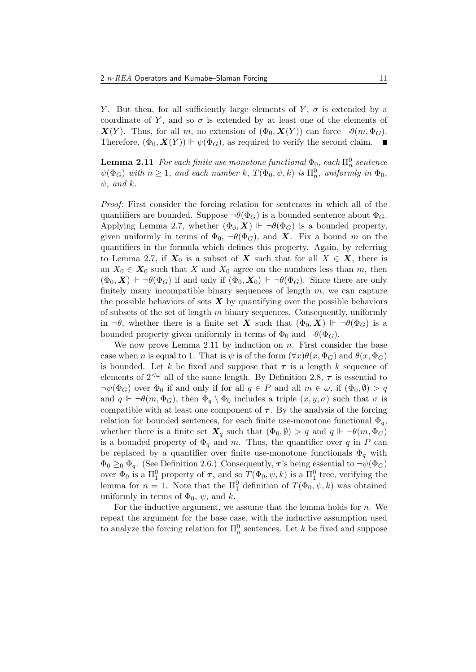Y. But then, for all sufficiently large elements of Y,  $\sigma$  is extended by a coordinate of Y, and so  $\sigma$  is extended by at least one of the elements of  $\mathbf{X}(Y)$ . Thus, for all m, no extension of  $(\Phi_0, \mathbf{X}(Y))$  can force  $\neg \theta(m, \Phi_G)$ . Therefore,  $(\Phi_0, \mathbf{X}(Y)) \Vdash \psi(\Phi_G)$ , as required to verify the second claim.

 ${\bf Lemma}$   ${\bf 2.11}$   $\emph{For each finite use monotone functional $\Phi_0$, each $\Pi^0_n$ sentence}$  $\psi(\Phi_G)$  with  $n \geq 1$ , and each number k,  $T(\Phi_0, \psi, k)$  is  $\Pi_n^0$ , uniformly in  $\Phi_0$ ,  $\psi$ , and k.

Proof: First consider the forcing relation for sentences in which all of the quantifiers are bounded. Suppose  $\neg \theta(\Phi_G)$  is a bounded sentence about  $\Phi_G$ . Applying Lemma 2.7, whether  $(\Phi_0, \mathbf{X}) \Vdash \neg \theta(\Phi_G)$  is a bounded property, given uniformly in terms of  $\Phi_0$ ,  $\neg \theta(\Phi_G)$ , and **X**. Fix a bound m on the quantifiers in the formula which defines this property. Again, by referring to Lemma 2.7, if  $X_0$  is a subset of X such that for all  $X \in X$ , there is an  $X_0 \in X_0$  such that X and  $X_0$  agree on the numbers less than m, then  $(\Phi_0, \mathbf{X}) \Vdash \neg \theta(\Phi_G)$  if and only if  $(\Phi_0, \mathbf{X}_0) \Vdash \neg \theta(\Phi_G)$ . Since there are only finitely many incompatible binary sequences of length  $m$ , we can capture the possible behaviors of sets  $\boldsymbol{X}$  by quantifying over the possible behaviors of subsets of the set of length  $m$  binary sequences. Consequently, uniformly in  $\neg \theta$ , whether there is a finite set **X** such that  $(\Phi_0, \mathbf{X}) \Vdash \neg \theta(\Phi_G)$  is a bounded property given uniformly in terms of  $\Phi_0$  and  $\neg \theta(\Phi_G)$ .

We now prove Lemma 2.11 by induction on  $n$ . First consider the base case when n is equal to 1. That is  $\psi$  is of the form  $(\forall x)\theta(x,\Phi_G)$  and  $\theta(x,\Phi_G)$ is bounded. Let k be fixed and suppose that  $\tau$  is a length k sequence of elements of  $2^{<\omega}$  all of the same length. By Definition 2.8,  $\tau$  is essential to  $\neg \psi(\Phi_G)$  over  $\Phi_0$  if and only if for all  $q \in P$  and all  $m \in \omega$ , if  $(\Phi_0, \emptyset) > q$ and  $q \Vdash \neg \theta(m, \Phi_G)$ , then  $\Phi_q \setminus \Phi_0$  includes a triple  $(x, y, \sigma)$  such that  $\sigma$  is compatible with at least one component of  $\tau$ . By the analysis of the forcing relation for bounded sentences, for each finite use-monotone functional  $\Phi_q$ , whether there is a finite set  $X_q$  such that  $(\Phi_0, \emptyset) > q$  and  $q \Vdash \neg \theta(m, \Phi_G)$ is a bounded property of  $\Phi_q$  and m. Thus, the quantifier over q in P can be replaced by a quantifier over finite use-monotone functionals  $\Phi_q$  with  $\Phi_0 \geq 0$   $\Phi_q$ . (See Definition 2.6.) Consequently,  $\tau$ 's being essential to  $\neg \psi(\Phi_G)$ over  $\Phi_0$  is a  $\Pi_1^0$  property of  $\tau$ , and so  $T(\Phi_0, \psi, k)$  is a  $\Pi_1^0$  tree, verifying the lemma for  $n = 1$ . Note that the  $\Pi_1^0$  definition of  $T(\Phi_0, \psi, k)$  was obtained uniformly in terms of  $\Phi_0$ ,  $\psi$ , and k.

For the inductive argument, we assume that the lemma holds for  $n$ . We repeat the argument for the base case, with the inductive assumption used to analyze the forcing relation for  $\Pi_n^0$  sentences. Let k be fixed and suppose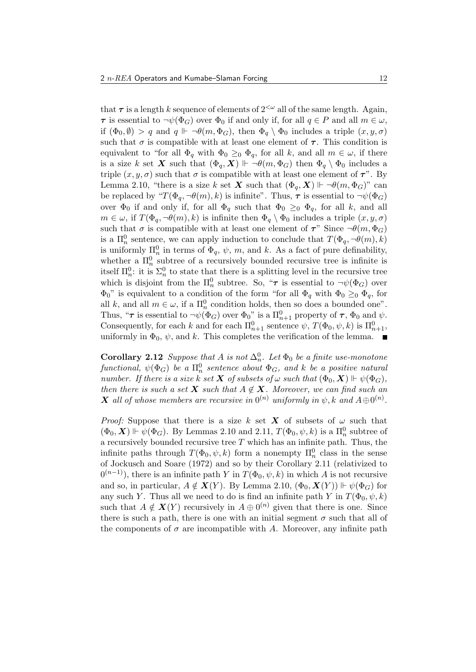that  $\tau$  is a length k sequence of elements of  $2^{<\omega}$  all of the same length. Again,  $\tau$  is essential to  $\neg\psi(\Phi_G)$  over  $\Phi_0$  if and only if, for all  $q \in P$  and all  $m \in \omega$ , if  $(\Phi_0, \emptyset) > q$  and  $q \Vdash \neg \theta(m, \Phi_G)$ , then  $\Phi_q \setminus \Phi_0$  includes a triple  $(x, y, \sigma)$ such that  $\sigma$  is compatible with at least one element of  $\tau$ . This condition is equivalent to "for all  $\Phi_q$  with  $\Phi_0 \geq_0 \Phi_q$ , for all k, and all  $m \in \omega$ , if there is a size k set X such that  $(\Phi_q, X) \Vdash \neg \theta(m, \Phi_G)$  then  $\Phi_q \setminus \Phi_0$  includes a triple  $(x, y, \sigma)$  such that  $\sigma$  is compatible with at least one element of  $\tau$ ". By Lemma 2.10, "there is a size k set X such that  $(\Phi_q, X) \Vdash \neg \theta(m, \Phi_G)$ " can be replaced by " $T(\Phi_q, \neg \theta(m), k)$  is infinite". Thus,  $\tau$  is essential to  $\neg \psi(\Phi_G)$ over  $\Phi_0$  if and only if, for all  $\Phi_q$  such that  $\Phi_0 \geq_0 \Phi_q$ , for all k, and all  $m \in \omega$ , if  $T(\Phi_q, \neg \theta(m), k)$  is infinite then  $\Phi_q \setminus \Phi_0$  includes a triple  $(x, y, \sigma)$ such that  $\sigma$  is compatible with at least one element of  $\tau$ " Since  $\neg \theta(m, \Phi_G)$ is a  $\Pi_n^0$  sentence, we can apply induction to conclude that  $T(\Phi_q, \neg \theta(m), k)$ is uniformly  $\Pi_n^0$  in terms of  $\Phi_q$ ,  $\psi$ ,  $m$ , and  $k$ . As a fact of pure definability, whether a  $\Pi_n^0$  subtree of a recursively bounded recursive tree is infinite is itself  $\Pi_n^0$ : it is  $\Sigma_n^0$  to state that there is a splitting level in the recursive tree which is disjoint from the  $\Pi_n^0$  subtree. So, " $\tau$  is essential to  $\neg\psi(\Phi_G)$  over  $\Phi_0$ " is equivalent to a condition of the form "for all  $\Phi_q$  with  $\Phi_0 \geq_0 \Phi_q$ , for all k, and all  $m \in \omega$ , if a  $\Pi_n^0$  condition holds, then so does a bounded one". Thus, " $\tau$  is essential to  $\neg\psi(\Phi_G)$  over  $\Phi_0$ " is a  $\Pi_{n+1}^0$  property of  $\tau$ ,  $\Phi_0$  and  $\psi$ . Consequently, for each  $k$  and for each  $\Pi_{n+1}^0$  sentence  $\psi$ ,  $T(\Phi_0, \psi, k)$  is  $\Pi_{n+1}^0$ , uniformly in  $\Phi_0$ ,  $\psi$ , and k. This completes the verification of the lemma.

**Corollary 2.12** Suppose that A is not  $\Delta_n^0$ . Let  $\Phi_0$  be a finite use-monotone  $\emph{functional}, \; \psi(\Phi_G) \; \emph{be a} \; \Pi^0_n \; \emph{sentence about} \; \Phi_G, \; \emph{and} \; \emph{k} \; \emph{be a positive natural}$ number. If there is a size k set **X** of subsets of  $\omega$  such that  $(\Phi_0, \mathbf{X}) \Vdash \psi(\Phi_G)$ , then there is such a set X such that  $A \notin X$ . Moreover, we can find such an  $\boldsymbol{X}$  all of whose members are recursive in  $0^{(n)}$  uniformly in  $\psi, k$  and  $A \oplus 0^{(n)}$ .

*Proof:* Suppose that there is a size k set X of subsets of  $\omega$  such that  $(\Phi_0, \mathbf{X}) \Vdash \psi(\Phi_G)$ . By Lemmas 2.10 and 2.11,  $T(\Phi_0, \psi, k)$  is a  $\Pi_n^0$  subtree of a recursively bounded recursive tree  $T$  which has an infinite path. Thus, the infinite paths through  $T(\Phi_0, \psi, k)$  form a nonempty  $\Pi_n^0$  class in the sense of Jockusch and Soare (1972) and so by their Corollary 2.11 (relativized to  $(0^{(n-1)})$ , there is an infinite path Y in  $T(\Phi_0, \psi, k)$  in which A is not recursive and so, in particular,  $A \notin \mathbf{X}(Y)$ . By Lemma 2.10,  $(\Phi_0, \mathbf{X}(Y)) \Vdash \psi(\Phi_G)$  for any such Y. Thus all we need to do is find an infinite path Y in  $T(\Phi_0, \psi, k)$ such that  $A \notin \mathbf{X}(Y)$  recursively in  $A \oplus 0^{(n)}$  given that there is one. Since there is such a path, there is one with an initial segment  $\sigma$  such that all of the components of  $\sigma$  are incompatible with A. Moreover, any infinite path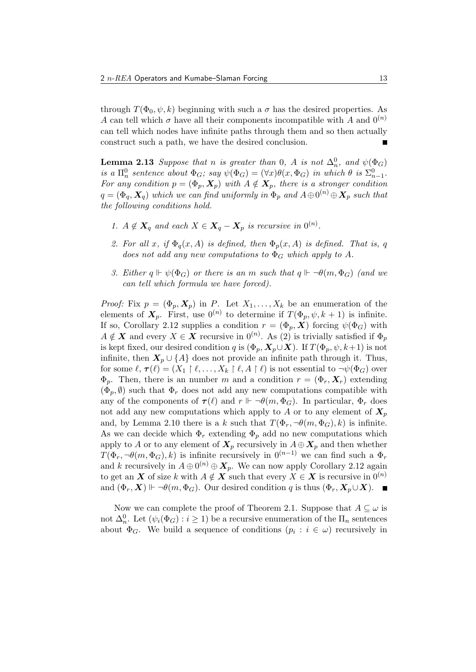through  $T(\Phi_0, \psi, k)$  beginning with such a  $\sigma$  has the desired properties. As A can tell which  $\sigma$  have all their components incompatible with A and  $0^{(n)}$ can tell which nodes have infinite paths through them and so then actually construct such a path, we have the desired conclusion. Е

**Lemma 2.13** Suppose that n is greater than 0, A is not  $\Delta_n^0$ , and  $\psi(\Phi_G)$ is a  $\Pi_n^0$  sentence about  $\Phi_G$ ; say  $\psi(\Phi_G) = (\forall x)\theta(x,\Phi_G)$  in which  $\theta$  is  $\Sigma_{n-1}^0$ . For any condition  $p = (\Phi_p, \mathbf{X}_p)$  with  $A \notin \mathbf{X}_p$ , there is a stronger condition  $q=(\Phi_q,\bm{X}_q)$  which we can find uniformly in  $\overline{\Phi}_p$  and  $A\oplus 0^{(n)}\oplus \bm{X}_p$  such that the following conditions hold.

- 1.  $A \notin \mathbf{X}_q$  and each  $X \in \mathbf{X}_q \mathbf{X}_p$  is recursive in  $0^{(n)}$ .
- 2. For all x, if  $\Phi_q(x, A)$  is defined, then  $\Phi_p(x, A)$  is defined. That is, q does not add any new computations to  $\Phi_G$  which apply to A.
- 3. Either  $q \Vdash \psi(\Phi_G)$  or there is an m such that  $q \Vdash \neg \theta(m, \Phi_G)$  (and we can tell which formula we have forced).

*Proof:* Fix  $p = (\Phi_p, X_p)$  in P. Let  $X_1, \ldots, X_k$  be an enumeration of the elements of  $\mathbf{X}_p$ . First, use  $0^{(n)}$  to determine if  $T(\Phi_p, \psi, k+1)$  is infinite. If so, Corollary 2.12 supplies a condition  $r = (\Phi_p, \boldsymbol{X})$  forcing  $\psi(\Phi_G)$  with  $A \notin \mathbf{X}$  and every  $X \in \mathbf{X}$  recursive in  $0^{(n)}$ . As  $(2)$  is trivially satisfied if  $\Phi_p$ is kept fixed, our desired condition q is  $(\Phi_p, \mathbf{X}_p \cup \mathbf{X})$ . If  $T(\Phi_p, \psi, k+1)$  is not infinite, then  $X_p \cup \{A\}$  does not provide an infinite path through it. Thus, for some  $\ell, \tau(\ell) = (X_1 \restriction \ell, \ldots, X_k \restriction \ell, A \restriction \ell)$  is not essential to  $\neg \psi(\Phi_G)$  over  $\Phi_p$ . Then, there is an number m and a condition  $r = (\Phi_r, \mathbf{X}_r)$  extending  $(\Phi_n, \emptyset)$  such that  $\Phi_r$  does not add any new computations compatible with any of the components of  $\tau(\ell)$  and  $r \Vdash \neg \theta(m, \Phi_G)$ . In particular,  $\Phi_r$  does not add any new computations which apply to A or to any element of  $X_p$ and, by Lemma 2.10 there is a k such that  $T(\Phi_r, \neg \theta(m, \Phi_G), k)$  is infinite. As we can decide which  $\Phi_r$  extending  $\Phi_p$  add no new computations which apply to A or to any element of  $X_p$  recursively in  $A \oplus X_p$  and then whether  $T(\Phi_r, \neg \theta(m, \Phi_G), k)$  is infinite recursively in  $0^{(n-1)}$  we can find such a  $\Phi_r$ and k recursively in  $A \oplus 0^{(n)} \oplus \mathbf{X}_p$ . We can now apply Corollary 2.12 again to get an X of size k with  $A \notin X$  such that every  $X \in X$  is recursive in  $0^{(n)}$ and  $(\Phi_r, X) \Vdash \neg \theta(m, \Phi_G)$ . Our desired condition q is thus  $(\Phi_r, X_p \cup X)$ .

Now we can complete the proof of Theorem 2.1. Suppose that  $A \subseteq \omega$  is not  $\Delta_n^0$ . Let  $(\psi_i(\Phi_G) : i \geq 1)$  be a recursive enumeration of the  $\Pi_n$  sentences about  $\Phi_G$ . We build a sequence of conditions  $(p_i : i \in \omega)$  recursively in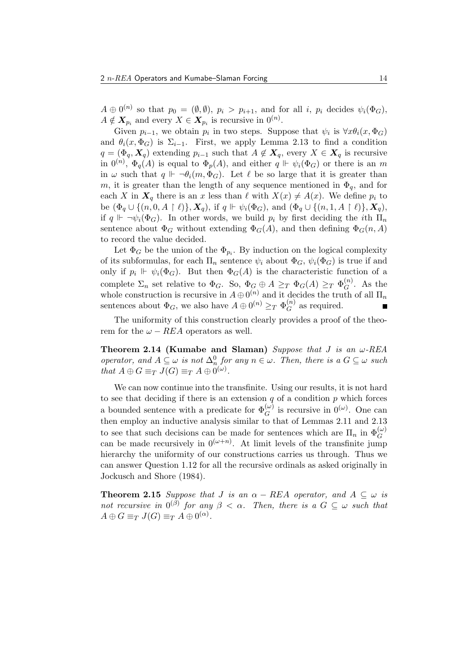$A \oplus 0^{(n)}$  so that  $p_0 = (\emptyset, \emptyset), p_i > p_{i+1}$ , and for all i,  $p_i$  decides  $\psi_i(\Phi_G)$ ,  $A \notin \mathbf{X}_{p_i}$  and every  $X \in \mathbf{X}_{p_i}$  is recursive in  $0^{(n)}$ .

Given  $p_{i-1}$ , we obtain  $p_i$  in two steps. Suppose that  $\psi_i$  is  $\forall x \theta_i(x, \Phi_G)$ and  $\theta_i(x, \Phi_G)$  is  $\Sigma_{i-1}$ . First, we apply Lemma 2.13 to find a condition  $q = (\Phi_q, \mathbf{X}_q)$  extending  $p_{i-1}$  such that  $A \notin \mathbf{X}_q$ , every  $X \in \mathbf{X}_q$  is recursive in  $0^{(n)}$ ,  $\Phi_q(A)$  is equal to  $\Phi_p(A)$ , and either  $q \Vdash \psi_i(\Phi_G)$  or there is an m in  $\omega$  such that  $q \Vdash \neg \theta_i(m, \Phi_G)$ . Let  $\ell$  be so large that it is greater than m, it is greater than the length of any sequence mentioned in  $\Phi_{q}$ , and for each X in  $X_q$  there is an x less than  $\ell$  with  $X(x) \neq A(x)$ . We define  $p_i$  to be  $(\Phi_q \cup \{(n, 0, A \restriction \ell)\}, \mathbf{X}_q)$ , if  $q \Vdash \psi_i(\Phi_G)$ , and  $(\Phi_q \cup \{(n, 1, A \restriction \ell)\}, \mathbf{X}_q)$ , if  $q \Vdash \neg \psi_i(\Phi_G)$ . In other words, we build  $p_i$  by first deciding the *i*th  $\Pi_n$ sentence about  $\Phi_G$  without extending  $\Phi_G(A)$ , and then defining  $\Phi_G(n, A)$ to record the value decided.

Let  $\Phi_G$  be the union of the  $\Phi_{p_i}$ . By induction on the logical complexity of its subformulas, for each  $\Pi_n$  sentence  $\psi_i$  about  $\Phi_G$ ,  $\psi_i(\Phi_G)$  is true if and only if  $p_i \Vdash \psi_i(\Phi_G)$ . But then  $\Phi_G(A)$  is the characteristic function of a complete  $\Sigma_n$  set relative to  $\Phi_G$ . So,  $\Phi_G \oplus A \geq_T \Phi_G(A) \geq_T \Phi_G^{(n)}$  $G^{(n)}$ . As the whole construction is recursive in  $A \oplus 0^{(n)}$  and it decides the truth of all  $\Pi_n$ sentences about  $\Phi_G$ , we also have  $A \oplus 0^{(n)} \geq_T \Phi_G^{(n)}$  $G^{(n)}$  as required.

The uniformity of this construction clearly provides a proof of the theorem for the  $\omega - REA$  operators as well.

Theorem 2.14 (Kumabe and Slaman) Suppose that  $J$  is an  $\omega$ -REA operator, and  $A \subseteq \omega$  is not  $\Delta_n^0$  for any  $n \in \omega$ . Then, there is a  $G \subseteq \omega$  such that  $A \oplus G \equiv_T J(G) \equiv_T A \oplus 0^{(\omega)}$ .

We can now continue into the transfinite. Using our results, it is not hard to see that deciding if there is an extension  $q$  of a condition  $p$  which forces a bounded sentence with a predicate for  $\Phi_G^{(\omega)}$  is recursive in  $0^{(\omega)}$ . One can then employ an inductive analysis similar to that of Lemmas 2.11 and 2.13 to see that such decisions can be made for sentences which are  $\Pi_n$  in  $\Phi_G^{(\omega)}$ can be made recursively in  $0^{(\omega+n)}$ . At limit levels of the transfinite jump hierarchy the uniformity of our constructions carries us through. Thus we can answer Question 1.12 for all the recursive ordinals as asked originally in Jockusch and Shore (1984).

**Theorem 2.15** Suppose that J is an  $\alpha$  – REA operator, and  $A \subseteq \omega$  is not recursive in  $0^{(\beta)}$  for any  $\beta < \alpha$ . Then, there is a  $G \subseteq \omega$  such that  $A \oplus G \equiv_T J(G) \equiv_T A \oplus 0^{(\alpha)}$ .